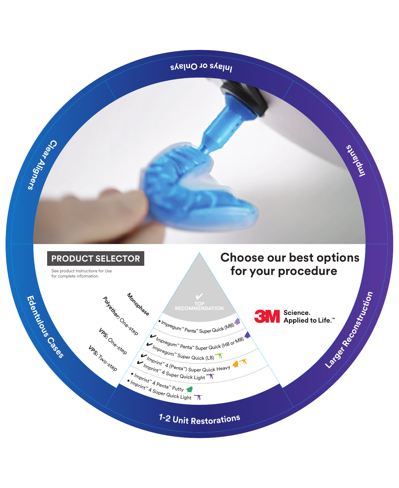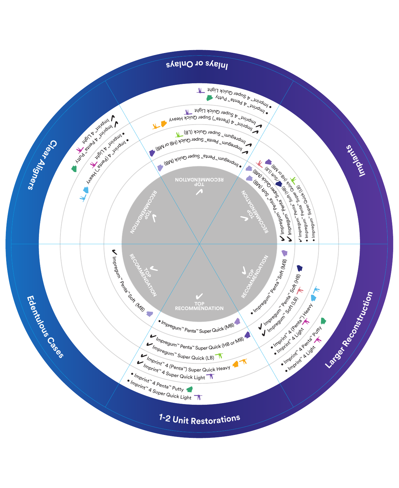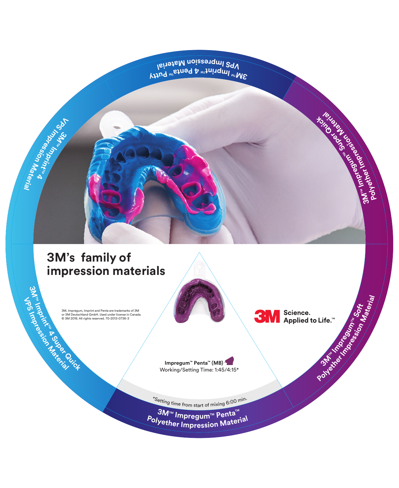**VPS Impression Mata<sup>w</sup> Perial**<br>Istisland Appression Matamerial

\* Shown with Imprint

## **Imprint™3M's family of Example 19 (PERCISION Materials**<br>
M. Impregum, Imprint and Penta are trademarks of 3M<br>
or 3M Deutschland GmbH. Used under license in Canada.<br> **Example:** 2018. All rights reserved. 70-2013-0736-3

Working

**Imprint™ 4 Regular**  Working Times

**Imprint™ 4 Light**  Working/Setting Time: 1:00/2:00

**3** 

**VPS**

 $\mathbf{\hat{y}}$ **pr**

**press**

 $\mathbf{\hat{y}}$ 

**t**<br> **t**<br> **t**<br> **t**<br> **d**<br> **d** 

**o<sup>i</sup> n**

**Mater**

**ai l**

**Imprint™ 4 (Penta**

**nprint and Penta are t<br>d GmbH. Used under<br>ghts reserved. 70-201:** Working/Setting Time: 0:35/1:15 **Imprint™**pregum, Imprint an<br>Deutschland GmbH.<br>2018. All rights reser SM, Impregum, Imprint an<br>or 3M Deutschland GmbH<br>© 3M 2018. All rights rese III<br>British Branch Branch<br>British Branch 3M, Impregum, Imprint and Penta are trademarks of 3M or 3M Deutschland GmbH. Used under license in Canada. © 3M 2018. All rights reserved. 70-2013-0736-3

**3MTM**

**VPS**

**I**mpting

**4 Super Quick**

**Impregum™ Penta™ (MB)** 

Working/Setting Time: 1:45/4:15\*

**IM**<br> **IM**<br> **SM**<br> **SM**<br> **Applied Impregume**<br> **Impregnant Body Applied to Life.™**<br>
Note: 2:00

\*Settin<sup>g</sup> <sup>t</sup>im<sup>e</sup> fr<sup>o</sup><sup>m</sup> <sup>s</sup>tar<sup>t</sup> <sup>o</sup><sup>f</sup> <sup>m</sup>ixin<sup>g</sup> <sup>6</sup>:0<sup>0</sup> <sup>m</sup>in.

**SM**™ Impregum™ Penta™ **<sup>P</sup>olyethe<sup>r</sup> <sup>I</sup>mpressio<sup>n</sup> <sup>M</sup>ateria<sup>l</sup>** **Polyether Impression 3**<br>**I**M<sub> TOM</sub> SOUTH SOFT

**Impregument Step Light Body Concernsion** 

**Space** 

**heured by the Manus** 

 $\overline{\phantom{a}}$ 

**Material**

**3MTM**

**b**<br>**i**<br>**b**<br>**i**<br>**i** 

**Po**

**mI**

**mI**

**p**<br>**p**<br>**p**<br>in the pa

**press oi**